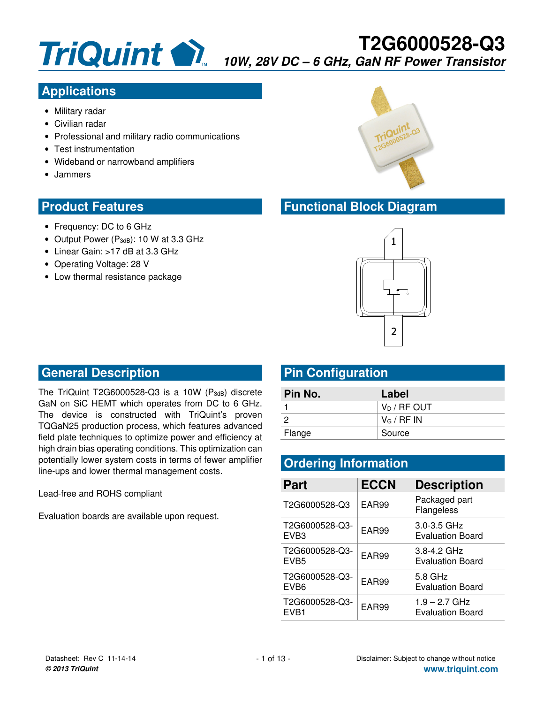

## **Applications**

- Military radar
- Civilian radar
- Professional and military radio communications
- Test instrumentation
- Wideband or narrowband amplifiers
- Jammers

#### **Product Features**

- Frequency: DC to 6 GHz
- Output Power (P<sub>3dB</sub>): 10 W at 3.3 GHz
- Linear Gain: >17 dB at 3.3 GHz
- Operating Voltage: 28 V
- Low thermal resistance package



#### **Functional Block Diagram**



#### **General Description**

The TriQuint T2G6000528-Q3 is a 10W ( $P_{3dB}$ ) discrete GaN on SiC HEMT which operates from DC to 6 GHz. The device is constructed with TriQuint's proven TQGaN25 production process, which features advanced field plate techniques to optimize power and efficiency at high drain bias operating conditions. This optimization can potentially lower system costs in terms of fewer amplifier line-ups and lower thermal management costs.

Lead-free and ROHS compliant

Evaluation boards are available upon request.

### **Pin Configuration**

| Pin No. | Label                     |
|---------|---------------------------|
|         | l V <sub>D</sub> / RF OUT |
|         | $V_{\text{G}}$ / RF IN    |
| Flange  | Source                    |

### **Ordering Information**

| <b>Part</b>                        | <b>ECCN</b> | <b>Description</b>                         |
|------------------------------------|-------------|--------------------------------------------|
| T2G6000528-Q3                      | EAR99       | Packaged part<br>Flangeless                |
| T2G6000528-Q3-<br>EVB <sub>3</sub> | EAR99       | $3.0 - 3.5$ GHz<br>Evaluation Board        |
| T2G6000528-Q3-<br>EVB <sub>5</sub> | EAR99       | $3.8 - 4.2$ GHz<br><b>Evaluation Board</b> |
| T2G6000528-Q3-<br>EVB <sub>6</sub> | EAR99       | 5.8 GHz<br>Evaluation Board                |
| T2G6000528-Q3-<br>FVR <sub>1</sub> | EAR99       | $1.9 - 2.7$ GHz<br><b>Evaluation Board</b> |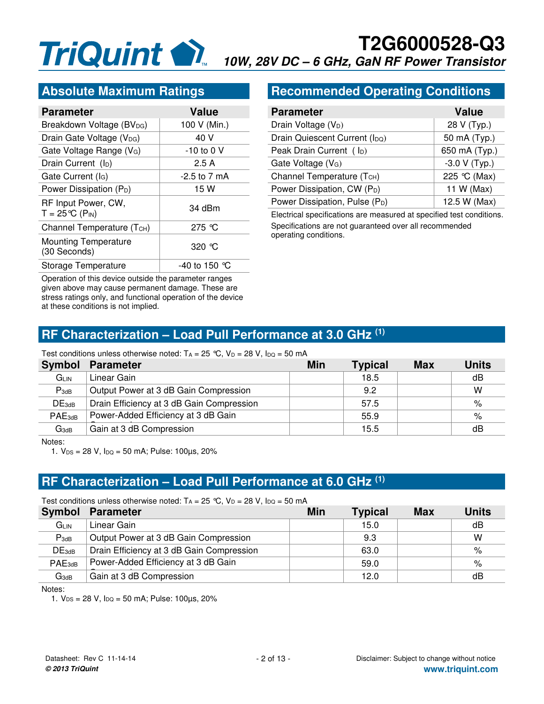#### **Absolute Maximum Ratings**

| <b>Parameter</b>                                            | <b>Value</b>    |
|-------------------------------------------------------------|-----------------|
| Breakdown Voltage (BV <sub>DG</sub> )                       | 100 V (Min.)    |
| Drain Gate Voltage (V <sub>DG</sub> )                       | 40 V            |
| Gate Voltage Range (V <sub>G</sub> )                        | -10 to 0 V      |
| Drain Current (l <sub>D</sub> )                             | 2.5A            |
| Gate Current (I <sub>G</sub> )                              | -2.5 to 7 mA    |
| Power Dissipation (P <sub>D</sub> )                         | 15 W            |
| RF Input Power, CW,<br>$T = 25^{\circ}C$ (P <sub>IN</sub> ) | 34 dBm          |
| Channel Temperature (TCH)                                   | 275 $\degree$ C |
| <b>Mounting Temperature</b><br>(30 Seconds)                 | 320 $\degree$ C |
| Storage Temperature                                         | -40 to 150 ℃    |

Operation of this device outside the parameter ranges given above may cause permanent damage. These are stress ratings only, and functional operation of the device at these conditions is not implied.

#### **Recommended Operating Conditions**

| <b>Parameter</b>                           | <b>Value</b>   |
|--------------------------------------------|----------------|
| Drain Voltage (V <sub>D</sub> )            | 28 V (Typ.)    |
| Drain Quiescent Current (I <sub>DQ</sub> ) | 50 mA (Typ.)   |
| Peak Drain Current ( lp)                   | 650 mA (Typ.)  |
| Gate Voltage (V <sub>G</sub> )             | $-3.0 V(Typ.)$ |
| Channel Temperature (T <sub>CH</sub> )     | 225 °C (Max)   |
| Power Dissipation, CW (P <sub>D</sub> )    | 11 W (Max)     |
| Power Dissipation, Pulse (P <sub>D</sub> ) | 12.5 W (Max)   |

Electrical specifications are measured at specified test conditions. Specifications are not guaranteed over all recommended operating conditions.

#### **RF Characterization – Load Pull Performance at 3.0 GHz (1)**

#### Test conditions unless otherwise noted:  $T_A = 25$  °C,  $V_D = 28$  V,  $I_{DQ} = 50$  mA

| <b>Symbol</b>     | <b>Parameter</b>                          | Min | Typical | <b>Max</b> | Units |
|-------------------|-------------------------------------------|-----|---------|------------|-------|
| GLIN              | Linear Gain                               |     | 18.5    |            | dB    |
| $P_{3dB}$         | Output Power at 3 dB Gain Compression     |     | 9.2     |            | w     |
| DE <sub>3dB</sub> | Drain Efficiency at 3 dB Gain Compression |     | 57.5    |            | %     |
| $PAE_{3dB}$       | Power-Added Efficiency at 3 dB Gain       |     | 55.9    |            | %     |
| $G_{3dB}$         | Gain at 3 dB Compression                  |     | 15.5    |            | dB    |

Notes:

1.  $V_{DS} = 28 V$ ,  $I_{DQ} = 50$  mA; Pulse: 100 $\mu$ s, 20%

#### **RF Characterization – Load Pull Performance at 6.0 GHz (1)**

| Test conditions unless otherwise noted: $T_A = 25$ °C, $V_D = 28$ V, $I_{DQ} = 50$ mA |                                           |     |                |            |              |
|---------------------------------------------------------------------------------------|-------------------------------------------|-----|----------------|------------|--------------|
| Symbol                                                                                | <b>Parameter</b>                          | Min | <b>Typical</b> | <b>Max</b> | <b>Units</b> |
| G <sub>LIN</sub>                                                                      | Linear Gain                               |     | 15.0           |            | dB           |
| $P_{3dB}$                                                                             | Output Power at 3 dB Gain Compression     |     | 9.3            |            | w            |
| DE <sub>3dB</sub>                                                                     | Drain Efficiency at 3 dB Gain Compression |     | 63.0           |            | %            |
| $PAE_{3dB}$                                                                           | Power-Added Efficiency at 3 dB Gain       |     | 59.0           |            | %            |
| $G_{3dB}$                                                                             | Gain at 3 dB Compression                  |     | 12.0           |            | dB           |

Notes:

1.  $V_{DS} = 28 V$ ,  $I_{DQ} = 50$  mA; Pulse: 100 $\mu$ s, 20%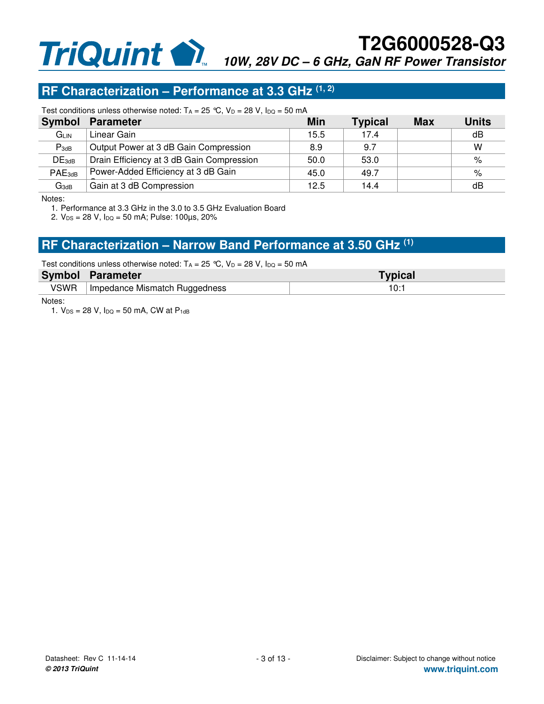#### **RF Characterization – Performance at 3.3 GHz (1, 2)**

Test conditions unless otherwise noted:  $T_A = 25$  °C,  $V_D = 28$  V,  $I_{DQ} = 50$  mA

| <b>Symbol</b>      | <b>Parameter</b>                          | Min  | <b>Typical</b> | <b>Max</b> | <b>Units</b> |
|--------------------|-------------------------------------------|------|----------------|------------|--------------|
| GLIN               | Linear Gain                               | 15.5 | 17.4           |            | dB           |
| $P_{3dB}$          | Output Power at 3 dB Gain Compression     | 8.9  | 9.7            |            | W            |
| DE <sub>3dB</sub>  | Drain Efficiency at 3 dB Gain Compression | 50.0 | 53.0           |            | %            |
| PAE <sub>3dB</sub> | Power-Added Efficiency at 3 dB Gain       | 45.0 | 49.7           |            | %            |
| $G_{3dB}$          | Gain at 3 dB Compression                  | 12.5 | 14.4           |            | dB           |

Notes:

1. Performance at 3.3 GHz in the 3.0 to 3.5 GHz Evaluation Board

2.  $V_{DS} = 28 V$ ,  $I_{DQ} = 50$  mA; Pulse: 100 $\mu$ s, 20%

#### **RF Characterization – Narrow Band Performance at 3.50 GHz (1)**

#### Test conditions unless otherwise noted:  $T_A = 25 °C$ ,  $V_D = 28 V$ ,  $I_{DQ} = 50 mA$

| <b>Symbol</b> | Parameter                       | <b>Typical</b> |
|---------------|---------------------------------|----------------|
| VSWR          | I Impedance Mismatch Ruggedness | ۹Λ۰            |

Notes:

1.  $V_{DS} = 28 V$ ,  $I_{DQ} = 50$  mA, CW at  $P_{1dB}$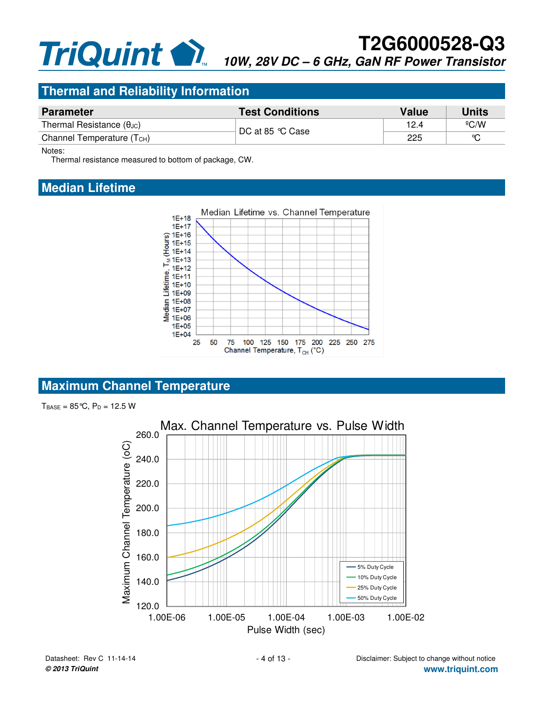#### **Thermal and Reliability Information**

| <b>Parameter</b>                       | <b>Test Conditions</b> | Value | Units        |
|----------------------------------------|------------------------|-------|--------------|
| Thermal Resistance $(\theta_{JC})$     | DC at 85 °C Case       | 12.4  | $\rm ^{6}CO$ |
| Channel Temperature (T <sub>CH</sub> ) |                        | 225   | ∽            |

Notes:

Thermal resistance measured to bottom of package, CW.

#### **Median Lifetime**



#### **Maximum Channel Temperature**

 $T_{BASE} = 85 \degree C$ ,  $P_D = 12.5 W$ 

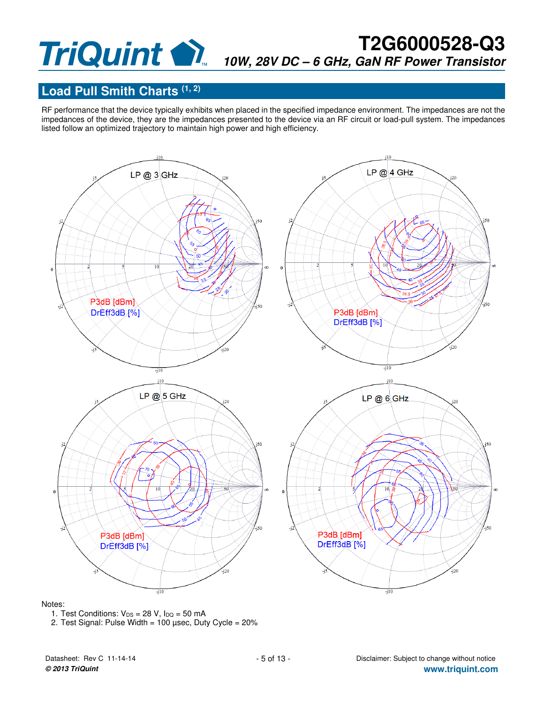#### **Load Pull Smith Charts (1, 2)**

RF performance that the device typically exhibits when placed in the specified impedance environment. The impedances are not the impedances of the device, they are the impedances presented to the device via an RF circuit or load-pull system. The impedances listed follow an optimized trajectory to maintain high power and high efficiency.



#### Notes:



2. Test Signal: Pulse Width =  $100 \mu$ sec, Duty Cycle =  $20\%$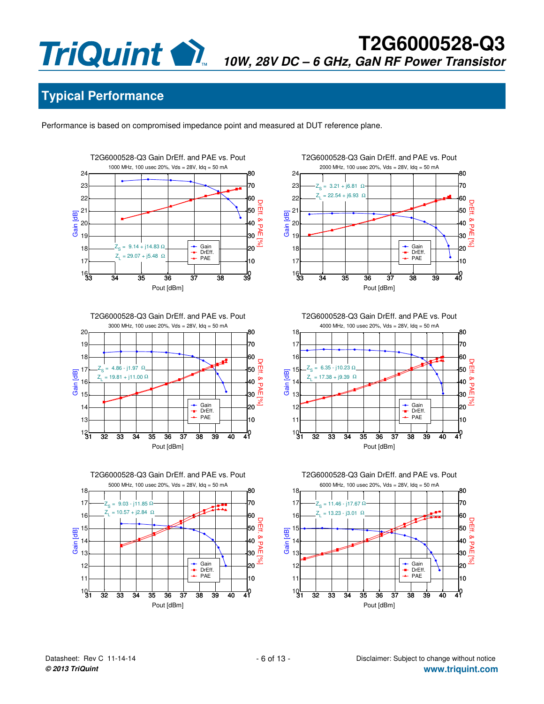# **Typical Performance**

Performance is based on compromised impedance point and measured at DUT reference plane.













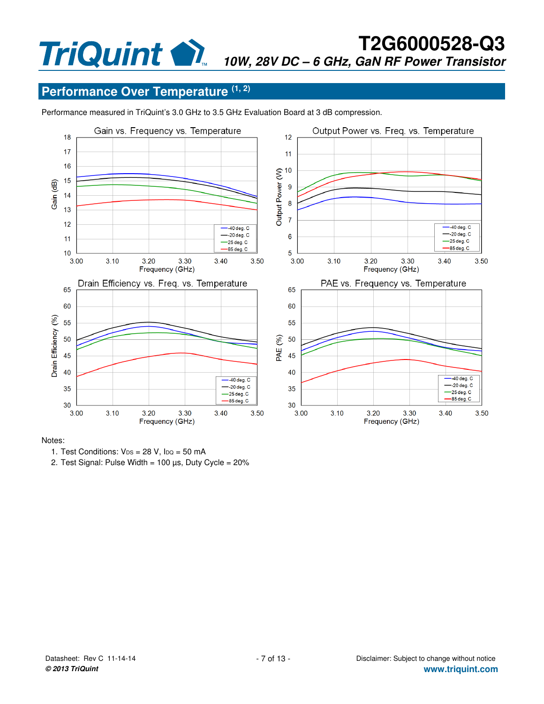## **Performance Over Temperature (1, 2)**

Performance measured in TriQuint's 3.0 GHz to 3.5 GHz Evaluation Board at 3 dB compression.



#### Notes:



2. Test Signal: Pulse Width =  $100 \mu s$ , Duty Cycle =  $20\%$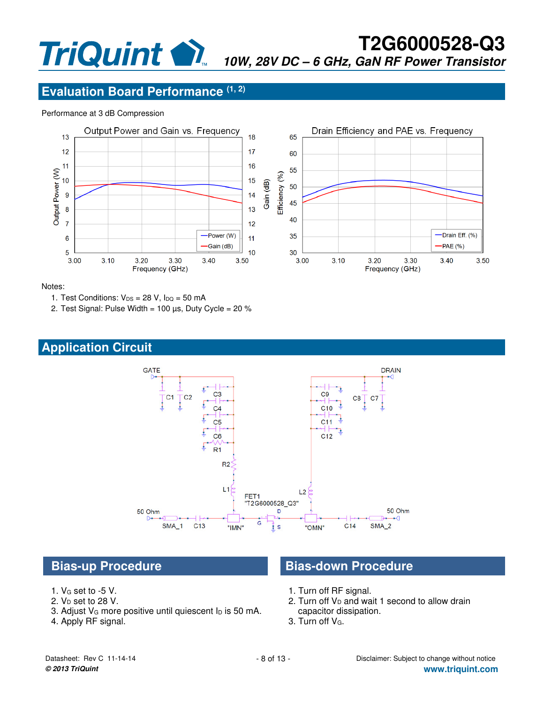### **Evaluation Board Performance (1, 2)**

#### Performance at 3 dB Compression



Notes:

- 1. Test Conditions:  $V_{DS} = 28 V$ ,  $I_{DQ} = 50 mA$
- 2. Test Signal: Pulse Width = 100  $\mu$ s, Duty Cycle = 20 %

## **Application Circuit**



- 1. VG set to -5 V.
- 2.  $V_D$  set to 28 V.
- 3. Adjust  $V_G$  more positive until quiescent  $I_D$  is 50 mA.
- 4. Apply RF signal.

## **Bias-up Procedure Community Bias-down Procedure**

- 1. Turn off RF signal.
- 2. Turn off  $V_D$  and wait 1 second to allow drain capacitor dissipation.
- 3. Turn off VG.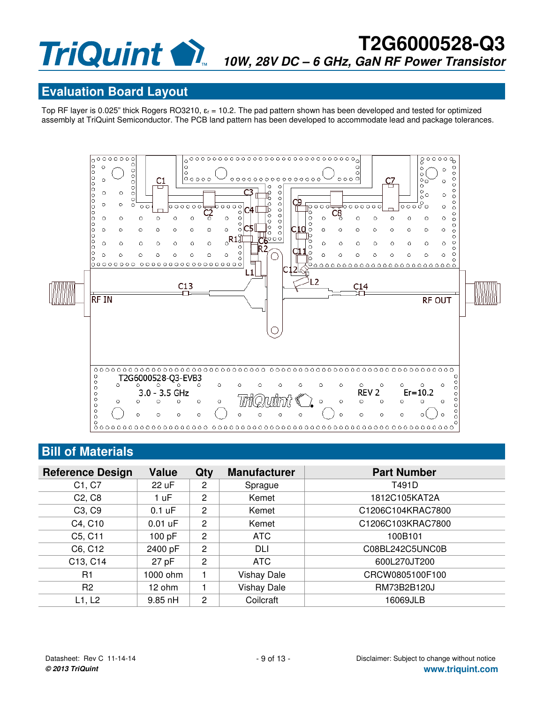#### **Evaluation Board Layout**

Top RF layer is 0.025" thick Rogers RO3210,  $\varepsilon_r = 10.2$ . The pad pattern shown has been developed and tested for optimized assembly at TriQuint Semiconductor. The PCB land pattern has been developed to accommodate lead and package tolerances.



## **Bill of Materials**

| <b>Reference Design</b>         | <b>Value</b> | Qty            | <b>Manufacturer</b> | <b>Part Number</b> |
|---------------------------------|--------------|----------------|---------------------|--------------------|
| C1, C7                          | 22 uF        | $\overline{2}$ | Sprague             | T491D              |
| C <sub>2</sub> , C <sub>8</sub> | 1 uF         | $\overline{2}$ | Kemet               | 1812C105KAT2A      |
| C <sub>3</sub> , C <sub>9</sub> | $0.1$ uF     | $\overline{2}$ | Kemet               | C1206C104KRAC7800  |
| C4, C10                         | $0.01$ uF    | $\overline{2}$ | Kemet               | C1206C103KRAC7800  |
| C5, C11                         | 100 pF       | $\overline{2}$ | <b>ATC</b>          | 100B101            |
| C6, C12                         | 2400 pF      | 2              | DLI                 | C08BL242C5UNC0B    |
| C13, C14                        | $27$ pF      | $\overline{2}$ | <b>ATC</b>          | 600L270JT200       |
| R <sub>1</sub>                  | 1000 ohm     |                | <b>Vishay Dale</b>  | CRCW0805100F100    |
| R <sub>2</sub>                  | 12 ohm       | ۴              | <b>Vishay Dale</b>  | RM73B2B120J        |
| L1, L2                          | $9.85$ nH    | $\overline{2}$ | Coilcraft           | 16069JLB           |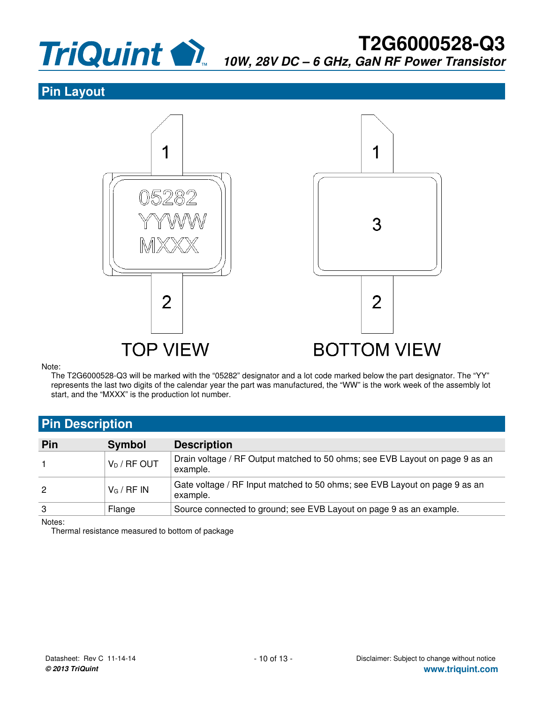

#### **Pin Layout**



Note:

The T2G6000528-Q3 will be marked with the "05282" designator and a lot code marked below the part designator. The "YY" represents the last two digits of the calendar year the part was manufactured, the "WW" is the work week of the assembly lot start, and the "MXXX" is the production lot number.

#### **Pin Description**

| Pin | <b>Symbol</b>                         | <b>Description</b>                                                                       |
|-----|---------------------------------------|------------------------------------------------------------------------------------------|
|     | $\sqrt[p]{ }$ V <sub>D</sub> / RF OUT | Drain voltage / RF Output matched to 50 ohms; see EVB Layout on page 9 as an<br>example. |
| 2   | $V_G / RF IN$                         | Gate voltage / RF Input matched to 50 ohms; see EVB Layout on page 9 as an<br>example.   |
| 3   | Flange                                | Source connected to ground; see EVB Layout on page 9 as an example.                      |

Notes:

Thermal resistance measured to bottom of package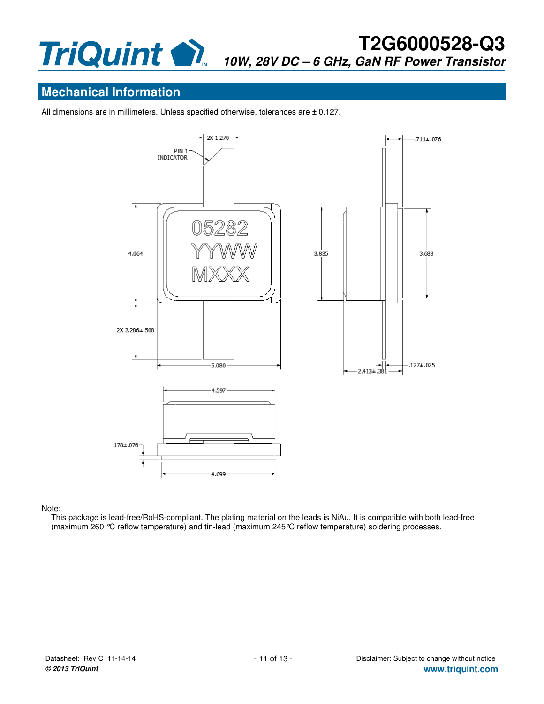

#### **Mechanical Information**

All dimensions are in millimeters. Unless specified otherwise, tolerances are  $\pm$  0.127.



#### Note:

This package is lead-free/RoHS-compliant. The plating material on the leads is NiAu. It is compatible with both lead-free (maximum 260 °C reflow temperature) and tin-lead (maximum 245°C reflow temperature) soldering processes.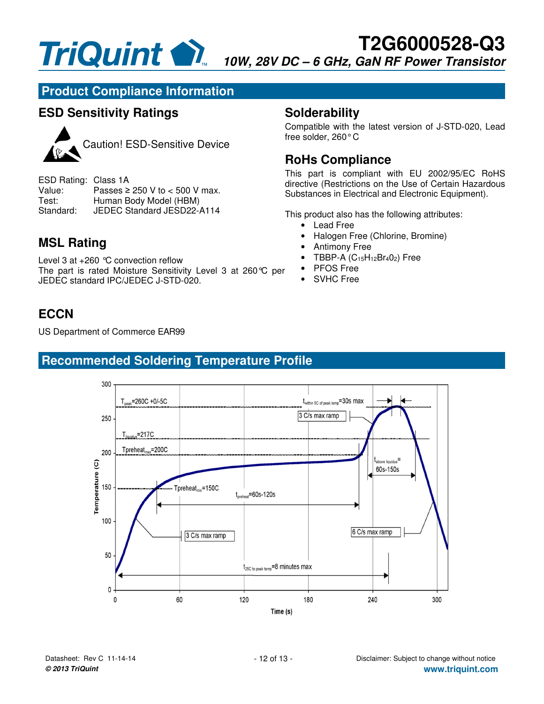

#### **Product Compliance Information**

#### **ESD Sensitivity Ratings**



Caution! ESD-Sensitive Device

ESD Rating: Class 1A<br>Value: Passes ≥ Value: Passes ≥ 250 V to < 500 V max.<br>Test: Human Body Model (HBM) Human Body Model (HBM) Standard: JEDEC Standard JESD22-A114

### **MSL Rating**

Level 3 at +260 °C convection reflow The part is rated Moisture Sensitivity Level 3 at 260°C per JEDEC standard IPC/JEDEC J-STD-020.

## **ECCN**

US Department of Commerce EAR99

### **Recommended Soldering Temperature Profile**



Compatible with the latest version of J-STD-020, Lead free solder, 260° C

#### **RoHs Compliance**

This part is compliant with EU 2002/95/EC RoHS directive (Restrictions on the Use of Certain Hazardous Substances in Electrical and Electronic Equipment).

This product also has the following attributes:

- Lead Free
- Halogen Free (Chlorine, Bromine)
- Antimony Free
- TBBP-A  $(C_{15}H_{12}Br_4O_2)$  Free
- PFOS Free
- SVHC Free

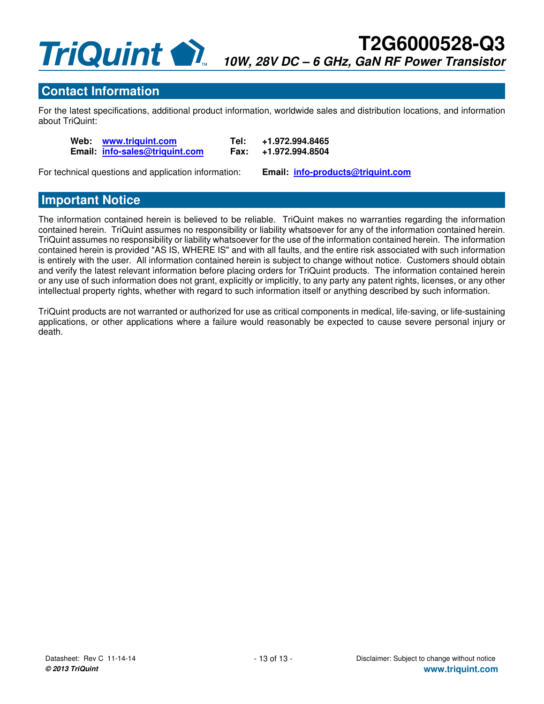#### **Contact Information**

For the latest specifications, additional product information, worldwide sales and distribution locations, and information about TriQuint:

 **Web: www.triquint.com Tel: +1.972.994.8465 Email:**  $into-sales@triquint.com$  **Fax:** 

For technical questions and application information: **Email: info-products@triquint.com**

#### **Important Notice**

The information contained herein is believed to be reliable. TriQuint makes no warranties regarding the information contained herein. TriQuint assumes no responsibility or liability whatsoever for any of the information contained herein. TriQuint assumes no responsibility or liability whatsoever for the use of the information contained herein. The information contained herein is provided "AS IS, WHERE IS" and with all faults, and the entire risk associated with such information is entirely with the user. All information contained herein is subject to change without notice. Customers should obtain and verify the latest relevant information before placing orders for TriQuint products. The information contained herein or any use of such information does not grant, explicitly or implicitly, to any party any patent rights, licenses, or any other intellectual property rights, whether with regard to such information itself or anything described by such information.

TriQuint products are not warranted or authorized for use as critical components in medical, life-saving, or life-sustaining applications, or other applications where a failure would reasonably be expected to cause severe personal injury or death.